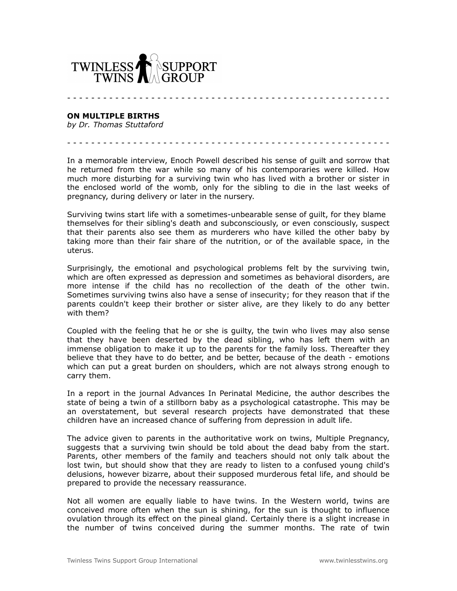

**ON MULTIPLE BIRTHS**

*by Dr. Thomas Stuttaford*

In a memorable interview, Enoch Powell described his sense of guilt and sorrow that he returned from the war while so many of his contemporaries were killed. How much more disturbing for a surviving twin who has lived with a brother or sister in the enclosed world of the womb, only for the sibling to die in the last weeks of pregnancy, during delivery or later in the nursery.

- - - - - - - - - - - - - - - - - - - - - - - - - - - - - - - - - - - - - - - - - - - - - - - - - - - - - -

- - - - - - - - - - - - - - - - - - - - - - - - - - - - - - - - - - - - - - - - - - - - - - - - - - - - - -

Surviving twins start life with a sometimes-unbearable sense of guilt, for they blame themselves for their sibling's death and subconsciously, or even consciously, suspect that their parents also see them as murderers who have killed the other baby by taking more than their fair share of the nutrition, or of the available space, in the uterus.

Surprisingly, the emotional and psychological problems felt by the surviving twin, which are often expressed as depression and sometimes as behavioral disorders, are more intense if the child has no recollection of the death of the other twin. Sometimes surviving twins also have a sense of insecurity; for they reason that if the parents couldn't keep their brother or sister alive, are they likely to do any better with them?

Coupled with the feeling that he or she is guilty, the twin who lives may also sense that they have been deserted by the dead sibling, who has left them with an immense obligation to make it up to the parents for the family loss. Thereafter they believe that they have to do better, and be better, because of the death - emotions which can put a great burden on shoulders, which are not always strong enough to carry them.

In a report in the journal Advances In Perinatal Medicine, the author describes the state of being a twin of a stillborn baby as a psychological catastrophe. This may be an overstatement, but several research projects have demonstrated that these children have an increased chance of suffering from depression in adult life.

The advice given to parents in the authoritative work on twins, Multiple Pregnancy, suggests that a surviving twin should be told about the dead baby from the start. Parents, other members of the family and teachers should not only talk about the lost twin, but should show that they are ready to listen to a confused young child's delusions, however bizarre, about their supposed murderous fetal life, and should be prepared to provide the necessary reassurance.

Not all women are equally liable to have twins. In the Western world, twins are conceived more often when the sun is shining, for the sun is thought to influence ovulation through its effect on the pineal gland. Certainly there is a slight increase in the number of twins conceived during the summer months. The rate of twin